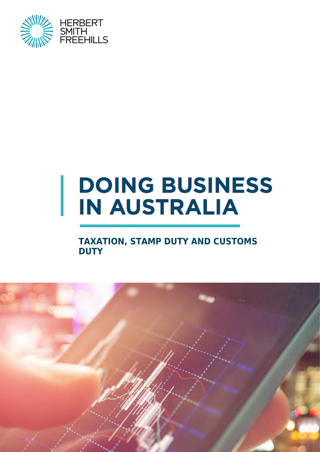

# **DOING BUSINESS IN AUSTRALIA**

### **TAXATION, STAMP DUTY AND CUSTOMS DUTY**

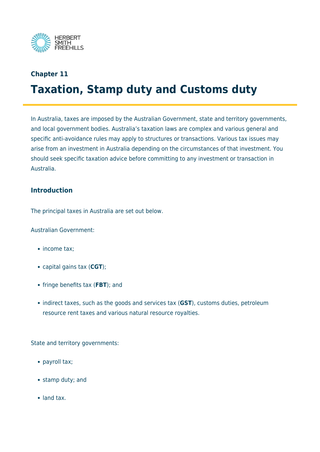

### **Chapter 11 Taxation, Stamp duty and Customs duty**

In Australia, taxes are imposed by the Australian Government, state and territory governments, and local government bodies. Australia's taxation laws are complex and various general and specific anti-avoidance rules may apply to structures or transactions. Various tax issues may arise from an investment in Australia depending on the circumstances of that investment. You should seek specific taxation advice before committing to any investment or transaction in Australia.

#### **Introduction**

The principal taxes in Australia are set out below.

Australian Government:

- income tax;
- capital gains tax (**CGT**);
- fringe benefits tax (**FBT**); and
- indirect taxes, such as the goods and services tax (GST), customs duties, petroleum resource rent taxes and various natural resource royalties.

State and territory governments:

- payroll tax;
- stamp duty; and
- land tax.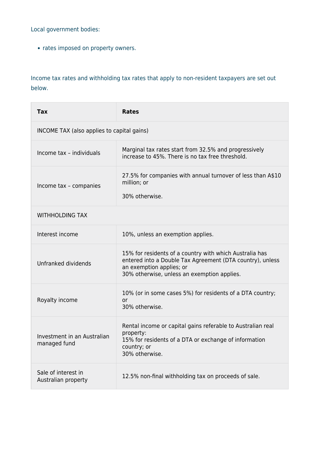Local government bodies:

• rates imposed on property owners.

Income tax rates and withholding tax rates that apply to non-resident taxpayers are set out below.

| <b>Tax</b>                                  | <b>Rates</b>                                                                                                                                                                                    |  |
|---------------------------------------------|-------------------------------------------------------------------------------------------------------------------------------------------------------------------------------------------------|--|
| INCOME TAX (also applies to capital gains)  |                                                                                                                                                                                                 |  |
| Income tax - individuals                    | Marginal tax rates start from 32.5% and progressively<br>increase to 45%. There is no tax free threshold.                                                                                       |  |
| Income tax - companies                      | 27.5% for companies with annual turnover of less than A\$10<br>million; or<br>30% otherwise.                                                                                                    |  |
| <b>WITHHOLDING TAX</b>                      |                                                                                                                                                                                                 |  |
| Interest income                             | 10%, unless an exemption applies.                                                                                                                                                               |  |
| Unfranked dividends                         | 15% for residents of a country with which Australia has<br>entered into a Double Tax Agreement (DTA country), unless<br>an exemption applies; or<br>30% otherwise, unless an exemption applies. |  |
| Royalty income                              | 10% (or in some cases 5%) for residents of a DTA country;<br>or<br>30% otherwise.                                                                                                               |  |
| Investment in an Australian<br>managed fund | Rental income or capital gains referable to Australian real<br>property:<br>15% for residents of a DTA or exchange of information<br>country; or<br>30% otherwise.                              |  |
| Sale of interest in<br>Australian property  | 12.5% non-final withholding tax on proceeds of sale.                                                                                                                                            |  |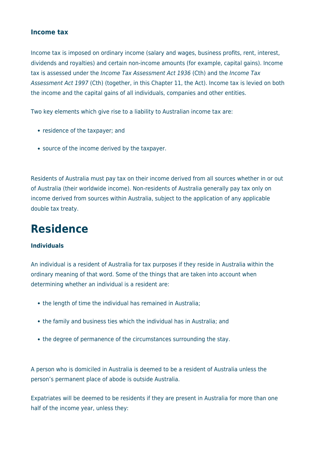#### **Income tax**

Income tax is imposed on ordinary income (salary and wages, business profits, rent, interest, dividends and royalties) and certain non-income amounts (for example, capital gains). Income tax is assessed under the *Income Tax Assessment Act 1936* (Cth) and the *Income Tax* Assessment Act 1997 (Cth) (together, in this Chapter 11, the Act). Income tax is levied on both the income and the capital gains of all individuals, companies and other entities.

Two key elements which give rise to a liability to Australian income tax are:

- residence of the taxpayer; and
- source of the income derived by the taxpayer.

Residents of Australia must pay tax on their income derived from all sources whether in or out of Australia (their worldwide income). Non-residents of Australia generally pay tax only on income derived from sources within Australia, subject to the application of any applicable double tax treaty.

### **Residence**

#### **Individuals**

An individual is a resident of Australia for tax purposes if they reside in Australia within the ordinary meaning of that word. Some of the things that are taken into account when determining whether an individual is a resident are:

- the length of time the individual has remained in Australia;
- the family and business ties which the individual has in Australia; and
- the degree of permanence of the circumstances surrounding the stay.

A person who is domiciled in Australia is deemed to be a resident of Australia unless the person's permanent place of abode is outside Australia.

Expatriates will be deemed to be residents if they are present in Australia for more than one half of the income year, unless they: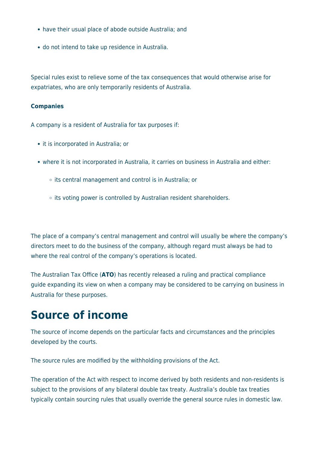- have their usual place of abode outside Australia; and
- do not intend to take up residence in Australia.

Special rules exist to relieve some of the tax consequences that would otherwise arise for expatriates, who are only temporarily residents of Australia.

#### **Companies**

A company is a resident of Australia for tax purposes if:

- it is incorporated in Australia; or
- where it is not incorporated in Australia, it carries on business in Australia and either:
	- $\circ$  its central management and control is in Australia; or
	- $\circ$  its voting power is controlled by Australian resident shareholders.

The place of a company's central management and control will usually be where the company's directors meet to do the business of the company, although regard must always be had to where the real control of the company's operations is located.

The Australian Tax Office (**ATO**) has recently released a ruling and practical compliance guide expanding its view on when a company may be considered to be carrying on business in Australia for these purposes.

### **Source of income**

The source of income depends on the particular facts and circumstances and the principles developed by the courts.

The source rules are modified by the withholding provisions of the Act.

The operation of the Act with respect to income derived by both residents and non-residents is subject to the provisions of any bilateral double tax treaty. Australia's double tax treaties typically contain sourcing rules that usually override the general source rules in domestic law.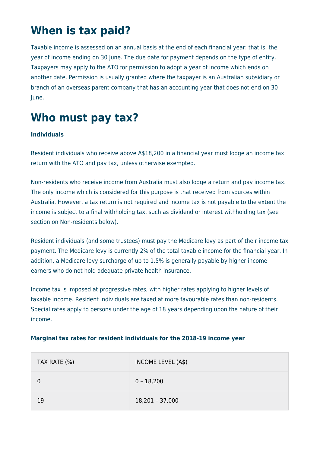# **When is tax paid?**

Taxable income is assessed on an annual basis at the end of each financial year: that is, the year of income ending on 30 June. The due date for payment depends on the type of entity. Taxpayers may apply to the ATO for permission to adopt a year of income which ends on another date. Permission is usually granted where the taxpayer is an Australian subsidiary or branch of an overseas parent company that has an accounting year that does not end on 30 June.

# **Who must pay tax?**

#### **Individuals**

Resident individuals who receive above A\$18,200 in a financial year must lodge an income tax return with the ATO and pay tax, unless otherwise exempted.

Non-residents who receive income from Australia must also lodge a return and pay income tax. The only income which is considered for this purpose is that received from sources within Australia. However, a tax return is not required and income tax is not payable to the extent the income is subject to a final withholding tax, such as dividend or interest withholding tax (see section on Non-residents below).

Resident individuals (and some trustees) must pay the Medicare levy as part of their income tax payment. The Medicare levy is currently 2% of the total taxable income for the financial year. In addition, a Medicare levy surcharge of up to 1.5% is generally payable by higher income earners who do not hold adequate private health insurance.

Income tax is imposed at progressive rates, with higher rates applying to higher levels of taxable income. Resident individuals are taxed at more favourable rates than non-residents. Special rates apply to persons under the age of 18 years depending upon the nature of their income.

| TAX RATE (%) | INCOME LEVEL (A\$) |
|--------------|--------------------|
|              | $0 - 18,200$       |
| 19           | $18,201 - 37,000$  |

#### **Marginal tax rates for resident individuals for the 2018-19 income year**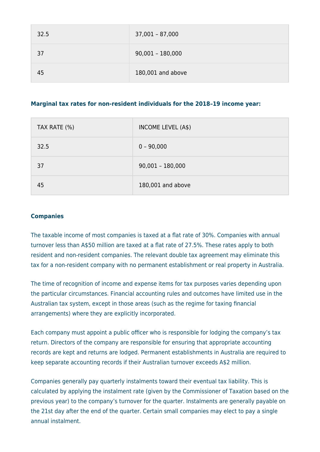| 32.5 | $37,001 - 87,000$  |
|------|--------------------|
| 37   | $90,001 - 180,000$ |
| 45   | 180,001 and above  |

#### **Marginal tax rates for non-resident individuals for the 2018–19 income year:**

| TAX RATE (%) | INCOME LEVEL (A\$) |
|--------------|--------------------|
| 32.5         | $0 - 90,000$       |
| 37           | $90,001 - 180,000$ |
| 45           | 180,001 and above  |

#### **Companies**

The taxable income of most companies is taxed at a flat rate of 30%. Companies with annual turnover less than A\$50 million are taxed at a flat rate of 27.5%. These rates apply to both resident and non-resident companies. The relevant double tax agreement may eliminate this tax for a non-resident company with no permanent establishment or real property in Australia.

The time of recognition of income and expense items for tax purposes varies depending upon the particular circumstances. Financial accounting rules and outcomes have limited use in the Australian tax system, except in those areas (such as the regime for taxing financial arrangements) where they are explicitly incorporated.

Each company must appoint a public officer who is responsible for lodging the company's tax return. Directors of the company are responsible for ensuring that appropriate accounting records are kept and returns are lodged. Permanent establishments in Australia are required to keep separate accounting records if their Australian turnover exceeds A\$2 million.

Companies generally pay quarterly instalments toward their eventual tax liability. This is calculated by applying the instalment rate (given by the Commissioner of Taxation based on the previous year) to the company's turnover for the quarter. Instalments are generally payable on the 21st day after the end of the quarter. Certain small companies may elect to pay a single annual instalment.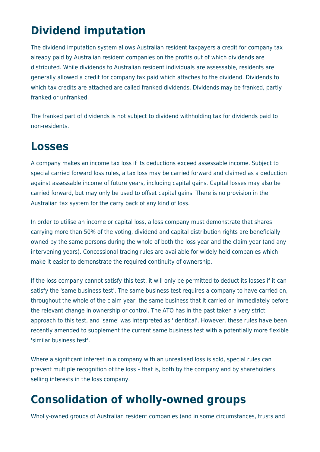# **Dividend imputation**

The dividend imputation system allows Australian resident taxpayers a credit for company tax already paid by Australian resident companies on the profits out of which dividends are distributed. While dividends to Australian resident individuals are assessable, residents are generally allowed a credit for company tax paid which attaches to the dividend. Dividends to which tax credits are attached are called franked dividends. Dividends may be franked, partly franked or unfranked.

The franked part of dividends is not subject to dividend withholding tax for dividends paid to non-residents.

### **Losses**

A company makes an income tax loss if its deductions exceed assessable income. Subject to special carried forward loss rules, a tax loss may be carried forward and claimed as a deduction against assessable income of future years, including capital gains. Capital losses may also be carried forward, but may only be used to offset capital gains. There is no provision in the Australian tax system for the carry back of any kind of loss.

In order to utilise an income or capital loss, a loss company must demonstrate that shares carrying more than 50% of the voting, dividend and capital distribution rights are beneficially owned by the same persons during the whole of both the loss year and the claim year (and any intervening years). Concessional tracing rules are available for widely held companies which make it easier to demonstrate the required continuity of ownership.

If the loss company cannot satisfy this test, it will only be permitted to deduct its losses if it can satisfy the 'same business test'. The same business test requires a company to have carried on, throughout the whole of the claim year, the same business that it carried on immediately before the relevant change in ownership or control. The ATO has in the past taken a very strict approach to this test, and 'same' was interpreted as 'identical'. However, these rules have been recently amended to supplement the current same business test with a potentially more flexible 'similar business test'.

Where a significant interest in a company with an unrealised loss is sold, special rules can prevent multiple recognition of the loss – that is, both by the company and by shareholders selling interests in the loss company.

# **Consolidation of wholly-owned groups**

Wholly-owned groups of Australian resident companies (and in some circumstances, trusts and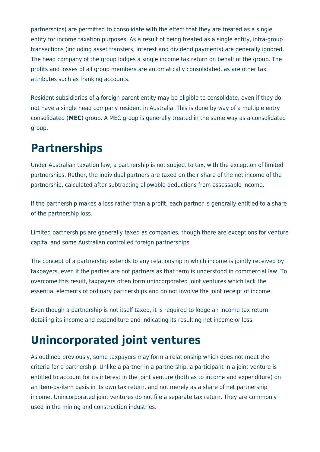partnerships) are permitted to consolidate with the effect that they are treated as a single entity for income taxation purposes. As a result of being treated as a single entity, intra-group transactions (including asset transfers, interest and dividend payments) are generally ignored. The head company of the group lodges a single income tax return on behalf of the group. The profits and losses of all group members are automatically consolidated, as are other tax attributes such as franking accounts.

Resident subsidiaries of a foreign parent entity may be eligible to consolidate, even if they do not have a single head company resident in Australia. This is done by way of a multiple entry consolidated (**MEC**) group. A MEC group is generally treated in the same way as a consolidated group.

# **Partnerships**

Under Australian taxation law, a partnership is not subject to tax, with the exception of limited partnerships. Rather, the individual partners are taxed on their share of the net income of the partnership, calculated after subtracting allowable deductions from assessable income.

If the partnership makes a loss rather than a profit, each partner is generally entitled to a share of the partnership loss.

Limited partnerships are generally taxed as companies, though there are exceptions for venture capital and some Australian controlled foreign partnerships.

The concept of a partnership extends to any relationship in which income is jointly received by taxpayers, even if the parties are not partners as that term is understood in commercial law. To overcome this result, taxpayers often form unincorporated joint ventures which lack the essential elements of ordinary partnerships and do not involve the joint receipt of income.

Even though a partnership is not itself taxed, it is required to lodge an income tax return detailing its income and expenditure and indicating its resulting net income or loss.

# **Unincorporated joint ventures**

As outlined previously, some taxpayers may form a relationship which does not meet the criteria for a partnership. Unlike a partner in a partnership, a participant in a joint venture is entitled to account for its interest in the joint venture (both as to income and expenditure) on an item-by-item basis in its own tax return, and not merely as a share of net partnership income. Unincorporated joint ventures do not file a separate tax return. They are commonly used in the mining and construction industries.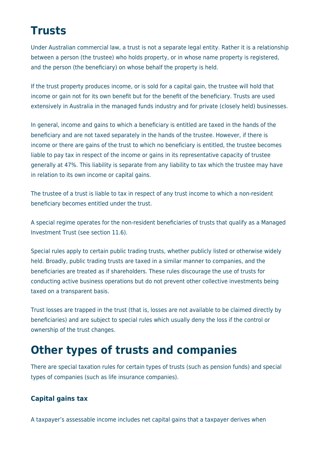# **Trusts**

Under Australian commercial law, a trust is not a separate legal entity. Rather it is a relationship between a person (the trustee) who holds property, or in whose name property is registered, and the person (the beneficiary) on whose behalf the property is held.

If the trust property produces income, or is sold for a capital gain, the trustee will hold that income or gain not for its own benefit but for the benefit of the beneficiary. Trusts are used extensively in Australia in the managed funds industry and for private (closely held) businesses.

In general, income and gains to which a beneficiary is entitled are taxed in the hands of the beneficiary and are not taxed separately in the hands of the trustee. However, if there is income or there are gains of the trust to which no beneficiary is entitled, the trustee becomes liable to pay tax in respect of the income or gains in its representative capacity of trustee generally at 47%. This liability is separate from any liability to tax which the trustee may have in relation to its own income or capital gains.

The trustee of a trust is liable to tax in respect of any trust income to which a non-resident beneficiary becomes entitled under the trust.

A special regime operates for the non-resident beneficiaries of trusts that qualify as a Managed Investment Trust (see section 11.6).

Special rules apply to certain public trading trusts, whether publicly listed or otherwise widely held. Broadly, public trading trusts are taxed in a similar manner to companies, and the beneficiaries are treated as if shareholders. These rules discourage the use of trusts for conducting active business operations but do not prevent other collective investments being taxed on a transparent basis.

Trust losses are trapped in the trust (that is, losses are not available to be claimed directly by beneficiaries) and are subject to special rules which usually deny the loss if the control or ownership of the trust changes.

### **Other types of trusts and companies**

There are special taxation rules for certain types of trusts (such as pension funds) and special types of companies (such as life insurance companies).

#### **Capital gains tax**

A taxpayer's assessable income includes net capital gains that a taxpayer derives when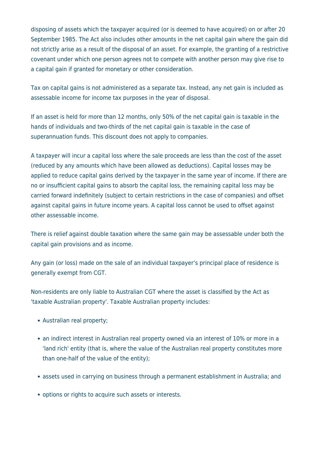disposing of assets which the taxpayer acquired (or is deemed to have acquired) on or after 20 September 1985. The Act also includes other amounts in the net capital gain where the gain did not strictly arise as a result of the disposal of an asset. For example, the granting of a restrictive covenant under which one person agrees not to compete with another person may give rise to a capital gain if granted for monetary or other consideration.

Tax on capital gains is not administered as a separate tax. Instead, any net gain is included as assessable income for income tax purposes in the year of disposal.

If an asset is held for more than 12 months, only 50% of the net capital gain is taxable in the hands of individuals and two-thirds of the net capital gain is taxable in the case of superannuation funds. This discount does not apply to companies.

A taxpayer will incur a capital loss where the sale proceeds are less than the cost of the asset (reduced by any amounts which have been allowed as deductions). Capital losses may be applied to reduce capital gains derived by the taxpayer in the same year of income. If there are no or insufficient capital gains to absorb the capital loss, the remaining capital loss may be carried forward indefinitely (subject to certain restrictions in the case of companies) and offset against capital gains in future income years. A capital loss cannot be used to offset against other assessable income.

There is relief against double taxation where the same gain may be assessable under both the capital gain provisions and as income.

Any gain (or loss) made on the sale of an individual taxpayer's principal place of residence is generally exempt from CGT.

Non-residents are only liable to Australian CGT where the asset is classified by the Act as 'taxable Australian property'. Taxable Australian property includes:

- Australian real property;
- an indirect interest in Australian real property owned via an interest of 10% or more in a 'land rich' entity (that is, where the value of the Australian real property constitutes more than one-half of the value of the entity);
- assets used in carrying on business through a permanent establishment in Australia; and
- options or rights to acquire such assets or interests.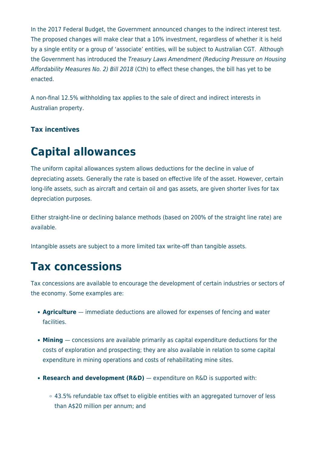In the 2017 Federal Budget, the Government announced changes to the indirect interest test. The proposed changes will make clear that a 10% investment, regardless of whether it is held by a single entity or a group of 'associate' entities, will be subject to Australian CGT. Although the Government has introduced the Treasury Laws Amendment (Reducing Pressure on Housing Affordability Measures No. 2) Bill 2018 (Cth) to effect these changes, the bill has yet to be enacted.

A non-final 12.5% withholding tax applies to the sale of direct and indirect interests in Australian property.

#### **Tax incentives**

# **Capital allowances**

The uniform capital allowances system allows deductions for the decline in value of depreciating assets. Generally the rate is based on effective life of the asset. However, certain long-life assets, such as aircraft and certain oil and gas assets, are given shorter lives for tax depreciation purposes.

Either straight-line or declining balance methods (based on 200% of the straight line rate) are available.

Intangible assets are subject to a more limited tax write-off than tangible assets.

### **Tax concessions**

Tax concessions are available to encourage the development of certain industries or sectors of the economy. Some examples are:

- **Agriculture**  immediate deductions are allowed for expenses of fencing and water facilities.
- **Mining**  concessions are available primarily as capital expenditure deductions for the costs of exploration and prospecting; they are also available in relation to some capital expenditure in mining operations and costs of rehabilitating mine sites.
- **Research and development (R&D)**  expenditure on R&D is supported with:
	- 43.5% refundable tax offset to eligible entities with an aggregated turnover of less than A\$20 million per annum; and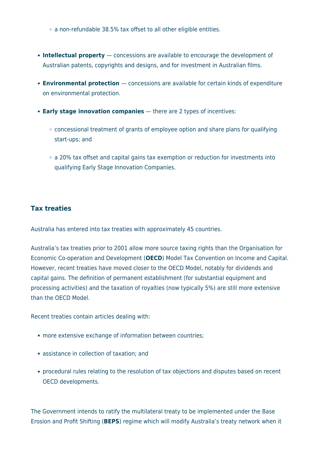a non-refundable 38.5% tax offset to all other eligible entities.

- **Intellectual property**  concessions are available to encourage the development of Australian patents, copyrights and designs, and for investment in Australian films.
- **Environmental protection** concessions are available for certain kinds of expenditure on environmental protection.
- **Early stage innovation companies** there are 2 types of incentives:
	- $\circ$  concessional treatment of grants of employee option and share plans for qualifying start-ups; and
	- a 20% tax offset and capital gains tax exemption or reduction for investments into qualifying Early Stage Innovation Companies.

#### **Tax treaties**

Australia has entered into tax treaties with approximately 45 countries.

Australia's tax treaties prior to 2001 allow more source taxing rights than the Organisation for Economic Co-operation and Development (**OECD**) Model Tax Convention on Income and Capital. However, recent treaties have moved closer to the OECD Model, notably for dividends and capital gains. The definition of permanent establishment (for substantial equipment and processing activities) and the taxation of royalties (now typically 5%) are still more extensive than the OECD Model.

Recent treaties contain articles dealing with:

- more extensive exchange of information between countries;
- assistance in collection of taxation; and
- procedural rules relating to the resolution of tax objections and disputes based on recent OECD developments.

The Government intends to ratify the multilateral treaty to be implemented under the Base Erosion and Profit Shifting (**BEPS**) regime which will modify Australia's treaty network when it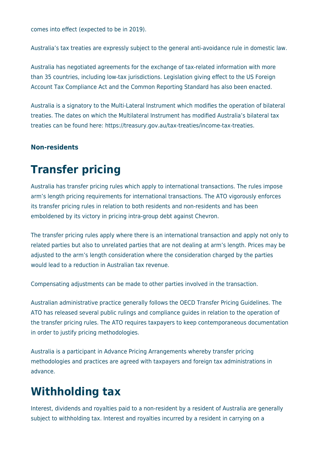comes into effect (expected to be in 2019).

Australia's tax treaties are expressly subject to the general anti-avoidance rule in domestic law.

Australia has negotiated agreements for the exchange of tax-related information with more than 35 countries, including low-tax jurisdictions. Legislation giving effect to the US Foreign Account Tax Compliance Act and the Common Reporting Standard has also been enacted.

Australia is a signatory to the Multi-Lateral Instrument which modifies the operation of bilateral treaties. The dates on which the Multilateral Instrument has modified Australia's bilateral tax treaties can be found here: https://treasury.gov.au/tax-treaties/income-tax-treaties.

#### **Non-residents**

# **Transfer pricing**

Australia has transfer pricing rules which apply to international transactions. The rules impose arm's length pricing requirements for international transactions. The ATO vigorously enforces its transfer pricing rules in relation to both residents and non-residents and has been emboldened by its victory in pricing intra-group debt against Chevron.

The transfer pricing rules apply where there is an international transaction and apply not only to related parties but also to unrelated parties that are not dealing at arm's length. Prices may be adjusted to the arm's length consideration where the consideration charged by the parties would lead to a reduction in Australian tax revenue.

Compensating adjustments can be made to other parties involved in the transaction.

Australian administrative practice generally follows the OECD Transfer Pricing Guidelines. The ATO has released several public rulings and compliance guides in relation to the operation of the transfer pricing rules. The ATO requires taxpayers to keep contemporaneous documentation in order to justify pricing methodologies.

Australia is a participant in Advance Pricing Arrangements whereby transfer pricing methodologies and practices are agreed with taxpayers and foreign tax administrations in advance.

# **Withholding tax**

Interest, dividends and royalties paid to a non-resident by a resident of Australia are generally subject to withholding tax. Interest and royalties incurred by a resident in carrying on a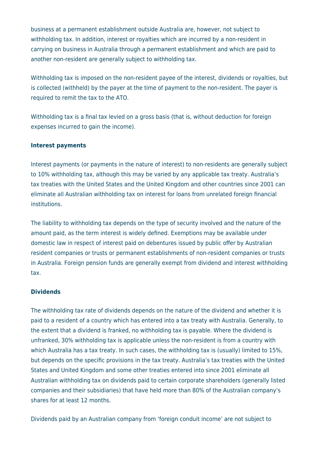business at a permanent establishment outside Australia are, however, not subject to withholding tax. In addition, interest or royalties which are incurred by a non-resident in carrying on business in Australia through a permanent establishment and which are paid to another non-resident are generally subject to withholding tax.

Withholding tax is imposed on the non-resident payee of the interest, dividends or royalties, but is collected (withheld) by the payer at the time of payment to the non-resident. The payer is required to remit the tax to the ATO.

Withholding tax is a final tax levied on a gross basis (that is, without deduction for foreign expenses incurred to gain the income).

#### **Interest payments**

Interest payments (or payments in the nature of interest) to non-residents are generally subject to 10% withholding tax, although this may be varied by any applicable tax treaty. Australia's tax treaties with the United States and the United Kingdom and other countries since 2001 can eliminate all Australian withholding tax on interest for loans from unrelated foreign financial institutions.

The liability to withholding tax depends on the type of security involved and the nature of the amount paid, as the term interest is widely defined. Exemptions may be available under domestic law in respect of interest paid on debentures issued by public offer by Australian resident companies or trusts or permanent establishments of non-resident companies or trusts in Australia. Foreign pension funds are generally exempt from dividend and interest withholding tax.

#### **Dividends**

The withholding tax rate of dividends depends on the nature of the dividend and whether it is paid to a resident of a country which has entered into a tax treaty with Australia. Generally, to the extent that a dividend is franked, no withholding tax is payable. Where the dividend is unfranked, 30% withholding tax is applicable unless the non-resident is from a country with which Australia has a tax treaty. In such cases, the withholding tax is (usually) limited to 15%, but depends on the specific provisions in the tax treaty. Australia's tax treaties with the United States and United Kingdom and some other treaties entered into since 2001 eliminate all Australian withholding tax on dividends paid to certain corporate shareholders (generally listed companies and their subsidiaries) that have held more than 80% of the Australian company's shares for at least 12 months.

Dividends paid by an Australian company from 'foreign conduit income' are not subject to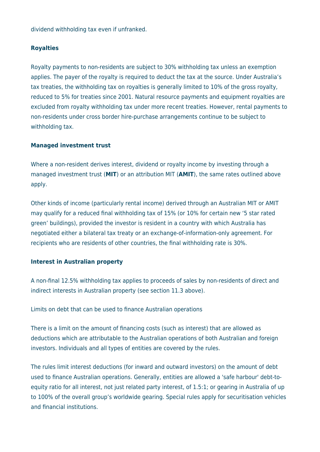dividend withholding tax even if unfranked.

#### **Royalties**

Royalty payments to non-residents are subject to 30% withholding tax unless an exemption applies. The payer of the royalty is required to deduct the tax at the source. Under Australia's tax treaties, the withholding tax on royalties is generally limited to 10% of the gross royalty, reduced to 5% for treaties since 2001. Natural resource payments and equipment royalties are excluded from royalty withholding tax under more recent treaties. However, rental payments to non-residents under cross border hire-purchase arrangements continue to be subject to withholding tax.

#### **Managed investment trust**

Where a non-resident derives interest, dividend or royalty income by investing through a managed investment trust (**MIT**) or an attribution MIT (**AMIT**), the same rates outlined above apply.

Other kinds of income (particularly rental income) derived through an Australian MIT or AMIT may qualify for a reduced final withholding tax of 15% (or 10% for certain new '5 star rated green' buildings), provided the investor is resident in a country with which Australia has negotiated either a bilateral tax treaty or an exchange-of-information-only agreement. For recipients who are residents of other countries, the final withholding rate is 30%.

#### **Interest in Australian property**

A non-final 12.5% withholding tax applies to proceeds of sales by non-residents of direct and indirect interests in Australian property (see section 11.3 above).

Limits on debt that can be used to finance Australian operations

There is a limit on the amount of financing costs (such as interest) that are allowed as deductions which are attributable to the Australian operations of both Australian and foreign investors. Individuals and all types of entities are covered by the rules.

The rules limit interest deductions (for inward and outward investors) on the amount of debt used to finance Australian operations. Generally, entities are allowed a 'safe harbour' debt-toequity ratio for all interest, not just related party interest, of 1.5:1; or gearing in Australia of up to 100% of the overall group's worldwide gearing. Special rules apply for securitisation vehicles and financial institutions.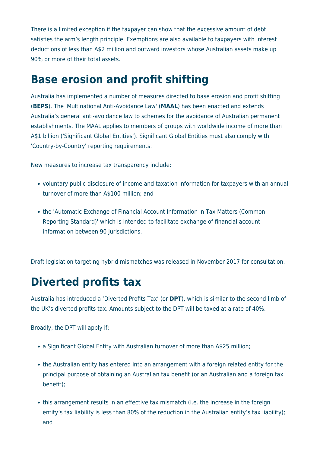There is a limited exception if the taxpayer can show that the excessive amount of debt satisfies the arm's length principle. Exemptions are also available to taxpayers with interest deductions of less than A\$2 million and outward investors whose Australian assets make up 90% or more of their total assets.

### **Base erosion and profit shifting**

Australia has implemented a number of measures directed to base erosion and profit shifting (**BEPS**). The 'Multinational Anti-Avoidance Law' (**MAAL**) has been enacted and extends Australia's general anti-avoidance law to schemes for the avoidance of Australian permanent establishments. The MAAL applies to members of groups with worldwide income of more than A\$1 billion ('Significant Global Entities'). Significant Global Entities must also comply with 'Country-by-Country' reporting requirements.

New measures to increase tax transparency include:

- voluntary public disclosure of income and taxation information for taxpayers with an annual turnover of more than A\$100 million; and
- the 'Automatic Exchange of Financial Account Information in Tax Matters (Common Reporting Standard)' which is intended to facilitate exchange of financial account information between 90 jurisdictions.

Draft legislation targeting hybrid mismatches was released in November 2017 for consultation.

### **Diverted profits tax**

Australia has introduced a 'Diverted Profits Tax' (or **DPT**), which is similar to the second limb of the UK's diverted profits tax. Amounts subject to the DPT will be taxed at a rate of 40%.

Broadly, the DPT will apply if:

- a Significant Global Entity with Australian turnover of more than A\$25 million;
- the Australian entity has entered into an arrangement with a foreign related entity for the principal purpose of obtaining an Australian tax benefit (or an Australian and a foreign tax benefit);
- this arrangement results in an effective tax mismatch (i.e. the increase in the foreign entity's tax liability is less than 80% of the reduction in the Australian entity's tax liability); and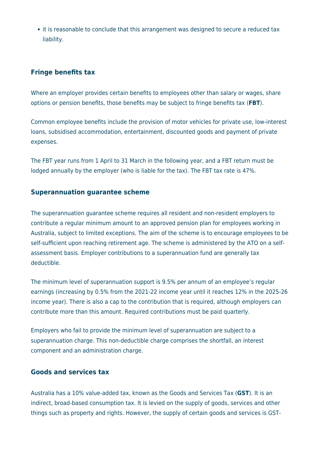• it is reasonable to conclude that this arrangement was designed to secure a reduced tax liability.

#### **Fringe benefits tax**

Where an employer provides certain benefits to employees other than salary or wages, share options or pension benefits, those benefits may be subject to fringe benefits tax (**FBT**).

Common employee benefits include the provision of motor vehicles for private use, low-interest loans, subsidised accommodation, entertainment, discounted goods and payment of private expenses.

The FBT year runs from 1 April to 31 March in the following year, and a FBT return must be lodged annually by the employer (who is liable for the tax). The FBT tax rate is 47%.

#### **Superannuation guarantee scheme**

The superannuation guarantee scheme requires all resident and non-resident employers to contribute a regular minimum amount to an approved pension plan for employees working in Australia, subject to limited exceptions. The aim of the scheme is to encourage employees to be self-sufficient upon reaching retirement age. The scheme is administered by the ATO on a selfassessment basis. Employer contributions to a superannuation fund are generally tax deductible.

The minimum level of superannuation support is 9.5% per annum of an employee's regular earnings (increasing by 0.5% from the 2021-22 income year until it reaches 12% in the 2025-26 income year). There is also a cap to the contribution that is required, although employers can contribute more than this amount. Required contributions must be paid quarterly.

Employers who fail to provide the minimum level of superannuation are subject to a superannuation charge. This non-deductible charge comprises the shortfall, an interest component and an administration charge.

#### **Goods and services tax**

Australia has a 10% value-added tax, known as the Goods and Services Tax (**GST**). It is an indirect, broad-based consumption tax. It is levied on the supply of goods, services and other things such as property and rights. However, the supply of certain goods and services is GST-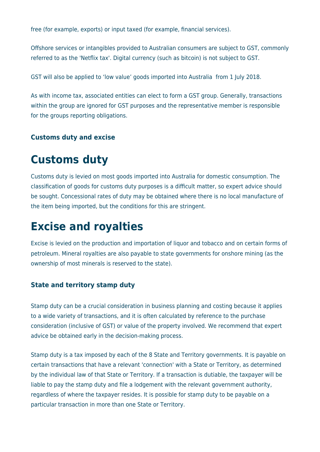free (for example, exports) or input taxed (for example, financial services).

Offshore services or intangibles provided to Australian consumers are subject to GST, commonly referred to as the 'Netflix tax'. Digital currency (such as bitcoin) is not subject to GST.

GST will also be applied to 'low value' goods imported into Australia from 1 July 2018.

As with income tax, associated entities can elect to form a GST group. Generally, transactions within the group are ignored for GST purposes and the representative member is responsible for the groups reporting obligations.

#### **Customs duty and excise**

### **Customs duty**

Customs duty is levied on most goods imported into Australia for domestic consumption. The classification of goods for customs duty purposes is a difficult matter, so expert advice should be sought. Concessional rates of duty may be obtained where there is no local manufacture of the item being imported, but the conditions for this are stringent.

### **Excise and royalties**

Excise is levied on the production and importation of liquor and tobacco and on certain forms of petroleum. Mineral royalties are also payable to state governments for onshore mining (as the ownership of most minerals is reserved to the state).

#### **State and territory stamp duty**

Stamp duty can be a crucial consideration in business planning and costing because it applies to a wide variety of transactions, and it is often calculated by reference to the purchase consideration (inclusive of GST) or value of the property involved. We recommend that expert advice be obtained early in the decision-making process.

Stamp duty is a tax imposed by each of the 8 State and Territory governments. It is payable on certain transactions that have a relevant 'connection' with a State or Territory, as determined by the individual law of that State or Territory. If a transaction is dutiable, the taxpayer will be liable to pay the stamp duty and file a lodgement with the relevant government authority, regardless of where the taxpayer resides. It is possible for stamp duty to be payable on a particular transaction in more than one State or Territory.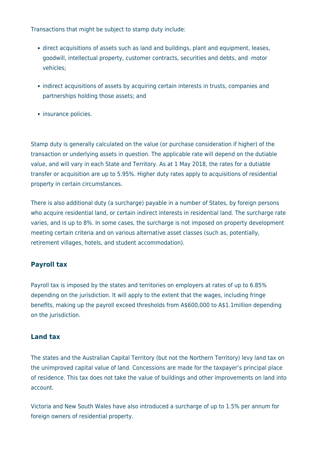Transactions that might be subject to stamp duty include:

- direct acquisitions of assets such as land and buildings, plant and equipment, leases, goodwill, intellectual property, customer contracts, securities and debts, and motor vehicles;
- indirect acquisitions of assets by acquiring certain interests in trusts, companies and partnerships holding those assets; and
- insurance policies.

Stamp duty is generally calculated on the value (or purchase consideration if higher) of the transaction or underlying assets in question. The applicable rate will depend on the dutiable value, and will vary in each State and Territory. As at 1 May 2018, the rates for a dutiable transfer or acquisition are up to 5.95%. Higher duty rates apply to acquisitions of residential property in certain circumstances.

There is also additional duty (a surcharge) payable in a number of States, by foreign persons who acquire residential land, or certain indirect interests in residential land. The surcharge rate varies, and is up to 8%. In some cases, the surcharge is not imposed on property development meeting certain criteria and on various alternative asset classes (such as, potentially, retirement villages, hotels, and student accommodation).

#### **Payroll tax**

Payroll tax is imposed by the states and territories on employers at rates of up to 6.85% depending on the jurisdiction. It will apply to the extent that the wages, including fringe benefits, making up the payroll exceed thresholds from A\$600,000 to A\$1.1million depending on the jurisdiction.

#### **Land tax**

The states and the Australian Capital Territory (but not the Northern Territory) levy land tax on the unimproved capital value of land. Concessions are made for the taxpayer's principal place of residence. This tax does not take the value of buildings and other improvements on land into account.

Victoria and New South Wales have also introduced a surcharge of up to 1.5% per annum for foreign owners of residential property.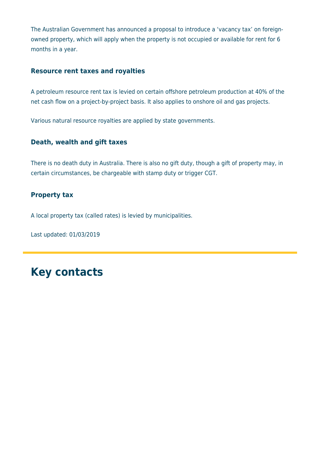The Australian Government has announced a proposal to introduce a 'vacancy tax' on foreignowned property, which will apply when the property is not occupied or available for rent for 6 months in a year.

#### **Resource rent taxes and royalties**

A petroleum resource rent tax is levied on certain offshore petroleum production at 40% of the net cash flow on a project-by-project basis. It also applies to onshore oil and gas projects.

Various natural resource royalties are applied by state governments.

#### **Death, wealth and gift taxes**

There is no death duty in Australia. There is also no gift duty, though a gift of property may, in certain circumstances, be chargeable with stamp duty or trigger CGT.

#### **Property tax**

A local property tax (called rates) is levied by municipalities.

Last updated: 01/03/2019

### **Key contacts**